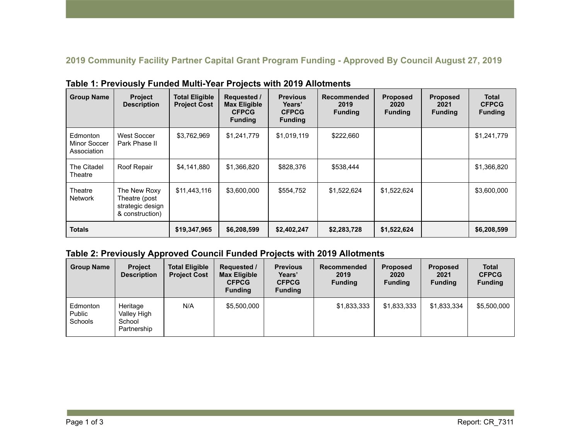**2019 Community Facility Partner Capital Grant Program Funding - Approved By Council August 27, 2019** 

| <b>Group Name</b>                       | <b>Project</b><br><b>Description</b>                                 | <b>Total Eligible</b><br><b>Project Cost</b> | <b>Requested /</b><br><b>Max Eligible</b><br><b>CFPCG</b><br><b>Funding</b> | <b>Previous</b><br>Years'<br><b>CFPCG</b><br><b>Funding</b> | <b>Recommended</b><br>2019<br><b>Funding</b> | <b>Proposed</b><br>2020<br><b>Funding</b> | <b>Proposed</b><br>2021<br><b>Funding</b> | <b>Total</b><br><b>CFPCG</b><br><b>Funding</b> |
|-----------------------------------------|----------------------------------------------------------------------|----------------------------------------------|-----------------------------------------------------------------------------|-------------------------------------------------------------|----------------------------------------------|-------------------------------------------|-------------------------------------------|------------------------------------------------|
| Edmonton<br>Minor Soccer<br>Association | West Soccer<br>Park Phase II                                         | \$3,762,969                                  | \$1,241,779                                                                 | \$1,019,119                                                 | \$222,660                                    |                                           |                                           | \$1,241,779                                    |
| The Citadel<br>Theatre                  | Roof Repair                                                          | \$4,141,880                                  | \$1,366,820                                                                 | \$828,376                                                   | \$538,444                                    |                                           |                                           | \$1,366,820                                    |
| Theatre<br><b>Network</b>               | The New Roxy<br>Theatre (post<br>strategic design<br>& construction) | \$11,443,116                                 | \$3,600,000                                                                 | \$554,752                                                   | \$1,522,624                                  | \$1,522,624                               |                                           | \$3,600,000                                    |
| <b>Totals</b>                           |                                                                      | \$19,347,965                                 | \$6,208,599                                                                 | \$2,402,247                                                 | \$2,283,728                                  | \$1,522,624                               |                                           | \$6,208,599                                    |

**Table 1: Previously Funded Multi-Year Projects with 2019 Allotments** 

## **Table 2: Previously Approved Council Funded Projects with 2019 Allotments**

| <b>Group Name</b>                    | <b>Project</b><br><b>Description</b>             | <b>Total Eligible</b><br><b>Project Cost</b> | Requested /<br><b>Max Eligible</b><br><b>CFPCG</b><br><b>Funding</b> | <b>Previous</b><br>Years'<br><b>CFPCG</b><br><b>Funding</b> | <b>Recommended</b><br>2019<br><b>Funding</b> | Proposed<br>2020<br><b>Funding</b> | <b>Proposed</b><br>2021<br><b>Funding</b> | <b>Total</b><br><b>CFPCG</b><br><b>Funding</b> |
|--------------------------------------|--------------------------------------------------|----------------------------------------------|----------------------------------------------------------------------|-------------------------------------------------------------|----------------------------------------------|------------------------------------|-------------------------------------------|------------------------------------------------|
| Edmonton<br>Public<br><b>Schools</b> | Heritage<br>Valley High<br>School<br>Partnership | N/A                                          | \$5,500,000                                                          |                                                             | \$1,833,333                                  | \$1,833,333                        | \$1,833,334                               | \$5,500,000                                    |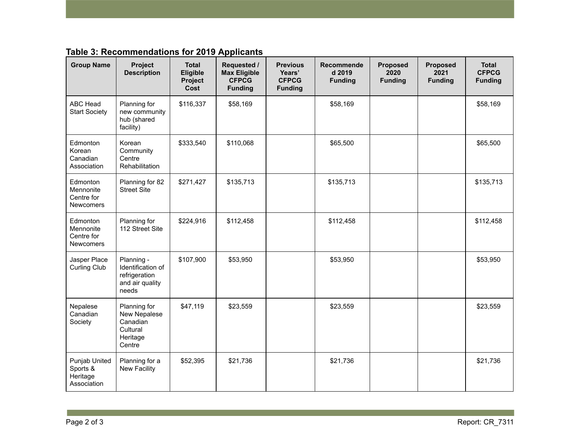| Table 3: Recommendations for 2019 Applicants |  |  |
|----------------------------------------------|--|--|
|----------------------------------------------|--|--|

| <b>Group Name</b>                                       | Project<br><b>Description</b>                                                | <b>Total</b><br>Eligible<br>Project<br>Cost | Requested /<br><b>Max Eligible</b><br><b>CFPCG</b><br><b>Funding</b> | <b>Previous</b><br>Years'<br><b>CFPCG</b><br><b>Funding</b> | <b>Recommende</b><br>d 2019<br><b>Funding</b> | <b>Proposed</b><br>2020<br><b>Funding</b> | <b>Proposed</b><br>2021<br><b>Funding</b> | Total<br><b>CFPCG</b><br><b>Funding</b> |
|---------------------------------------------------------|------------------------------------------------------------------------------|---------------------------------------------|----------------------------------------------------------------------|-------------------------------------------------------------|-----------------------------------------------|-------------------------------------------|-------------------------------------------|-----------------------------------------|
| ABC Head<br><b>Start Society</b>                        | Planning for<br>new community<br>hub (shared<br>facility)                    | \$116,337                                   | \$58,169                                                             |                                                             | \$58,169                                      |                                           |                                           | \$58,169                                |
| Edmonton<br>Korean<br>Canadian<br>Association           | Korean<br>Community<br>Centre<br>Rehabilitation                              | \$333,540                                   | \$110,068                                                            |                                                             | \$65,500                                      |                                           |                                           | \$65,500                                |
| Edmonton<br>Mennonite<br>Centre for<br><b>Newcomers</b> | Planning for 82<br><b>Street Site</b>                                        | \$271,427                                   | \$135,713                                                            |                                                             | \$135,713                                     |                                           |                                           | \$135,713                               |
| Edmonton<br>Mennonite<br>Centre for<br>Newcomers        | Planning for<br>112 Street Site                                              | \$224,916                                   | \$112,458                                                            |                                                             | \$112,458                                     |                                           |                                           | \$112,458                               |
| Jasper Place<br>Curling Club                            | Planning -<br>Identification of<br>refrigeration<br>and air quality<br>needs | \$107,900                                   | \$53,950                                                             |                                                             | \$53,950                                      |                                           |                                           | \$53,950                                |
| Nepalese<br>Canadian<br>Society                         | Planning for<br>New Nepalese<br>Canadian<br>Cultural<br>Heritage<br>Centre   | \$47,119                                    | \$23,559                                                             |                                                             | \$23,559                                      |                                           |                                           | \$23,559                                |
| Punjab United<br>Sports &<br>Heritage<br>Association    | Planning for a<br><b>New Facility</b>                                        | \$52,395                                    | \$21,736                                                             |                                                             | \$21,736                                      |                                           |                                           | \$21,736                                |

**Contract Contract**